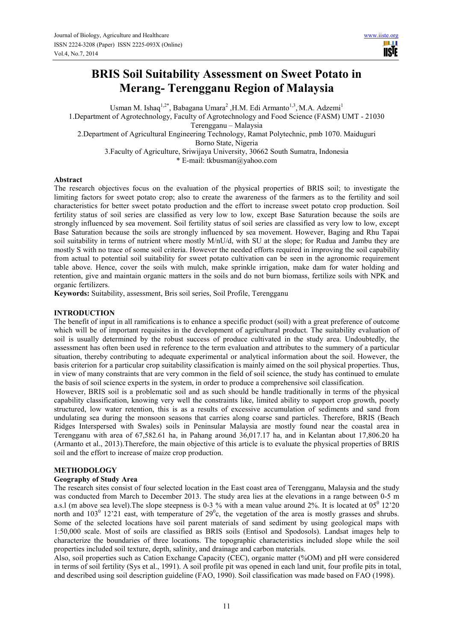# **BRIS Soil Suitability Assessment on Sweet Potato in Merang- Terengganu Region of Malaysia**

Usman M. Ishaq<sup>1,2\*</sup>, Babagana Umara<sup>2</sup>, H.M. Edi Armanto<sup>1,3</sup>, M.A. Adzemi<sup>1</sup> 1.Department of Agrotechnology, Faculty of Agrotechnology and Food Science (FASM) UMT - 21030 Terengganu – Malaysia 2.Department of Agricultural Engineering Technology, Ramat Polytechnic, pmb 1070. Maiduguri Borno State, Nigeria 3.Faculty of Agriculture, Sriwijaya University, 30662 South Sumatra, Indonesia \* E-mail: tkbusman@yahoo.com

## **Abstract**

The research objectives focus on the evaluation of the physical properties of BRIS soil; to investigate the limiting factors for sweet potato crop; also to create the awareness of the farmers as to the fertility and soil characteristics for better sweet potato production and the effort to increase sweet potato crop production. Soil fertility status of soil series are classified as very low to low, except Base Saturation because the soils are strongly influenced by sea movement. Soil fertility status of soil series are classified as very low to low, except Base Saturation because the soils are strongly influenced by sea movement. However, Baging and Rhu Tapai soil suitability in terms of nutrient where mostly M/nU/d, with SU at the slope; for Rudua and Jambu they are mostly S with no trace of some soil criteria. However the needed efforts required in improving the soil capability from actual to potential soil suitability for sweet potato cultivation can be seen in the agronomic requirement table above. Hence, cover the soils with mulch, make sprinkle irrigation, make dam for water holding and retention, give and maintain organic matters in the soils and do not burn biomass, fertilize soils with NPK and organic fertilizers.

**Keywords:** Suitability, assessment, Bris soil series, Soil Profile, Terengganu

## **INTRODUCTION**

The benefit of input in all ramifications is to enhance a specific product (soil) with a great preference of outcome which will be of important requisites in the development of agricultural product. The suitability evaluation of soil is usually determined by the robust success of produce cultivated in the study area. Undoubtedly, the assessment has often been used in reference to the term evaluation and attributes to the summery of a particular situation, thereby contributing to adequate experimental or analytical information about the soil. However, the basis criterion for a particular crop suitability classification is mainly aimed on the soil physical properties. Thus, in view of many constraints that are very common in the field of soil science, the study has continued to emulate the basis of soil science experts in the system, in order to produce a comprehensive soil classification.

 However, BRIS soil is a problematic soil and as such should be handle traditionally in terms of the physical capability classification, knowing very well the constraints like, limited ability to support crop growth, poorly structured, low water retention, this is as a results of excessive accumulation of sediments and sand from undulating sea during the monsoon seasons that carries along coarse sand particles. Therefore, BRIS (Beach Ridges Interspersed with Swales) soils in Peninsular Malaysia are mostly found near the coastal area in Terengganu with area of 67,582.61 ha, in Pahang around 36,017.17 ha, and in Kelantan about 17,806.20 ha (Armanto et al., 2013).Therefore, the main objective of this article is to evaluate the physical properties of BRIS soil and the effort to increase of maize crop production.

#### **METHODOLOGY**

#### **Geography of Study Area**

The research sites consist of four selected location in the East coast area of Terengganu, Malaysia and the study was conducted from March to December 2013. The study area lies at the elevations in a range between 0-5 m a.s.l (m above sea level). The slope steepness is 0-3 % with a mean value around 2%. It is located at  $05^0$  12'20 north and  $103^{\circ}$  12'21 east, with temperature of  $29^{\circ}$ c, the vegetation of the area is mostly grasses and shrubs. Some of the selected locations have soil parent materials of sand sediment by using geological maps with 1:50,000 scale. Most of soils are classified as BRIS soils (Entisol and Spodosols). Landsat images help to characterize the boundaries of three locations. The topographic characteristics included slope while the soil properties included soil texture, depth, salinity, and drainage and carbon materials.

Also, soil properties such as Cation Exchange Capacity (CEC), organic matter (%OM) and pH were considered in terms of soil fertility (Sys et al., 1991). A soil profile pit was opened in each land unit, four profile pits in total, and described using soil description guideline (FAO, 1990). Soil classification was made based on FAO (1998).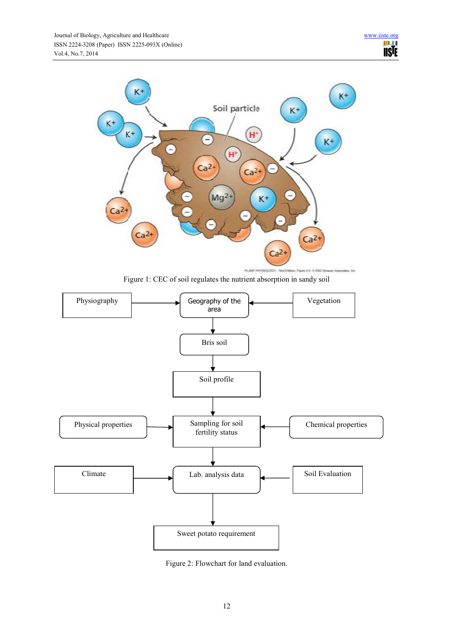

Figure 1: CEC of soil regulates the nutrient absorption in sandy soil



Figure 2: Flowchart for land evaluation.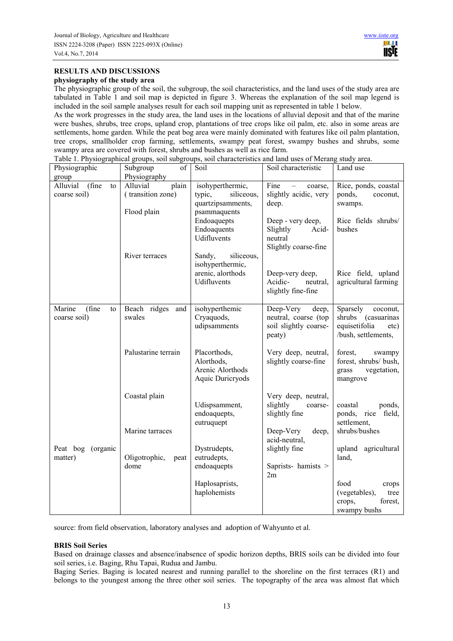# **RESULTS AND DISCUSSIONS**

#### **physiography of the study area**

The physiographic group of the soil, the subgroup, the soil characteristics, and the land uses of the study area are tabulated in Table 1 and soil map is depicted in figure 3. Whereas the explanation of the soil map legend is included in the soil sample analyses result for each soil mapping unit as represented in table 1 below.

As the work progresses in the study area, the land uses in the locations of alluvial deposit and that of the marine were bushes, shrubs, tree crops, upland crop, plantations of tree crops like oil palm, etc. also in some areas are settlements, home garden. While the peat bog area were mainly dominated with features like oil palm plantation, tree crops, smallholder crop farming, settlements, swampy peat forest, swampy bushes and shrubs, some swampy area are covered with forest, shrubs and bushes as well as rice farm.

Table 1. Physiographical groups, soil subgroups, soil characteristics and land uses of Merang study area.

| Physiographic                           | of<br>Subgroup                                        | Soil                                                                          | Soil characteristic                                                           | Land use                                                                                   |
|-----------------------------------------|-------------------------------------------------------|-------------------------------------------------------------------------------|-------------------------------------------------------------------------------|--------------------------------------------------------------------------------------------|
| group                                   | Physiography                                          |                                                                               |                                                                               |                                                                                            |
| (fine<br>Alluvial<br>to<br>coarse soil) | plain<br>Alluvial<br>(transition zone)<br>Flood plain | isohyperthermic,<br>typic,<br>siliceous,<br>quartzipsamments,<br>psammaquents | Fine<br>coarse.<br>$\overline{\phantom{0}}$<br>slightly acidic, very<br>deep. | Rice, ponds, coastal<br>ponds,<br>coconut,<br>swamps.                                      |
|                                         |                                                       | Endoaquepts<br>Endoaquents<br>Udifluvents                                     | Deep - very deep,<br>Slightly<br>Acid-<br>neutral<br>Slightly coarse-fine     | Rice fields shrubs/<br>bushes                                                              |
|                                         | River terraces                                        | siliceous,<br>Sandy,<br>isohyperthermic,<br>arenic, alorthods<br>Udifluvents  | Deep-very deep,<br>Acidic-<br>neutral,<br>slightly fine-fine                  | Rice field, upland<br>agricultural farming                                                 |
| (fine<br>Marine<br>to<br>coarse soil)   | Beach ridges and<br>swales                            | isohyperthemic<br>Cryaquods,<br>udipsamments                                  | Deep-Very<br>deep,<br>neutral, coarse (top<br>soil slightly coarse-<br>peaty) | Sparsely<br>coconut,<br>shrubs (casuarinas<br>equisetifolia<br>etc)<br>/bush, settlements, |
|                                         | Palustarine terrain                                   | Placorthods,<br>Alorthods,<br>Arenic Alorthods<br>Aquic Duricryods            | Very deep, neutral,<br>slightly coarse-fine                                   | forest,<br>swampy<br>forest, shrubs/ bush,<br>vegetation,<br>grass<br>mangrove             |
|                                         | Coastal plain<br>Marine tarraces                      | Udispsamment,<br>endoaquepts,<br>eutruquept                                   | Very deep, neutral,<br>slightly<br>coarse-<br>slightly fine<br>Deep-Very      | coastal<br>ponds,<br>rice field,<br>ponds,<br>settlement,<br>shrubs/bushes                 |
| Peat bog<br>(organic<br>matter)         | Oligotrophic,<br>peat<br>dome                         | Dystrudepts,<br>eutrudepts,<br>endoaquepts                                    | deep,<br>acid-neutral,<br>slightly fine<br>Saprists-hamists ><br>2m           | upland agricultural<br>land.                                                               |
|                                         |                                                       | Haplosaprists,<br>haplohemists                                                |                                                                               | food<br>crops<br>(vegetables),<br>tree<br>forest,<br>crops,<br>swampy bushs                |

source: from field observation, laboratory analyses and adoption of Wahyunto et al.

## **BRIS Soil Series**

Based on drainage classes and absence/inabsence of spodic horizon depths, BRIS soils can be divided into four soil series, i.e. Baging, Rhu Tapai, Rudua and Jambu.

Baging Series. Baging is located nearest and running parallel to the shoreline on the first terraces (R1) and belongs to the youngest among the three other soil series. The topography of the area was almost flat which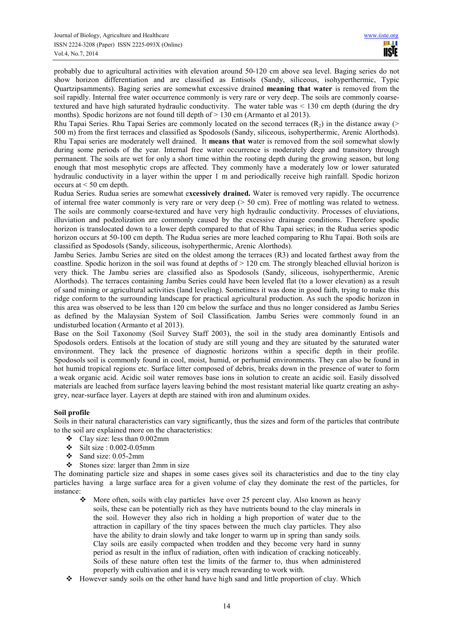probably due to agricultural activities with elevation around 50-120 cm above sea level. Baging series do not show horizon differentiation and are classified as Entisols (Sandy, siliceous, isohyperthermic, Typic Quartzipsamments). Baging series are somewhat excessive drained **meaning that water** is removed from the soil rapidly. Internal free water occurrence commonly is very rare or very deep. The soils are commonly coarsetextured and have high saturated hydraulic conductivity. The water table was < 130 cm depth (during the dry months). Spodic horizons are not found till depth of  $> 130$  cm (Armanto et al 2013).

Rhu Tapai Series. Rhu Tapai Series are commonly located on the second terraces  $(R_2)$  in the distance away (> 500 m) from the first terraces and classified as Spodosols (Sandy, siliceous, isohyperthermic, Arenic Alorthods). Rhu Tapai series are moderately well drained. It **means that w**ater is removed from the soil somewhat slowly during some periods of the year. Internal free water occurrence is moderately deep and transitory through permanent. The soils are wet for only a short time within the rooting depth during the growing season, but long enough that most mesophytic crops are affected. They commonly have a moderately low or lower saturated hydraulic conductivity in a layer within the upper 1 m and periodically receive high rainfall. Spodic horizon occurs at  $\leq 50$  cm depth.

Rudua Series. Rudua series are somewhat e**xcessively drained.** Water is removed very rapidly. The occurrence of internal free water commonly is very rare or very deep ( $> 50$  cm). Free of mottling was related to wetness. The soils are commonly coarse-textured and have very high hydraulic conductivity. Processes of eluviations, illuviation and podzolization are commonly caused by the excessive drainage conditions. Therefore spodic horizon is translocated down to a lower depth compared to that of Rhu Tapai series; in the Rudua series spodic horizon occurs at 50-100 cm depth. The Rudua series are more leached comparing to Rhu Tapai. Both soils are classified as Spodosols (Sandy, siliceous, isohyperthermic, Arenic Alorthods).

Jambu Series. Jambu Series are sited on the oldest among the terraces (R3) and located farthest away from the coastline. Spodic horizon in the soil was found at depths of  $> 120$  cm. The strongly bleached elluvial horizon is very thick. The Jambu series are classified also as Spodosols (Sandy, siliceous, isohyperthermic, Arenic Alorthods). The terraces containing Jambu Series could have been leveled flat (to a lower elevation) as a result of sand mining or agricultural activities (land leveling). Sometimes it was done in good faith, trying to make this ridge conform to the surrounding landscape for practical agricultural production. As such the spodic horizon in this area was observed to be less than 120 cm below the surface and thus no longer considered as Jambu Series as defined by the Malaysian System of Soil Classification. Jambu Series were commonly found in an undisturbed location (Armanto et al 2013).

Base on the Soil Taxonomy (Soil Survey Staff 2003), the soil in the study area dominantly Entisols and Spodosols orders. Entisols at the location of study are still young and they are situated by the saturated water environment. They lack the presence of diagnostic horizons within a specific depth in their profile. Spodosols soil is commonly found in cool, moist, humid, or perhumid environments. They can also be found in hot humid tropical regions etc. Surface litter composed of debris, breaks down in the presence of water to form a weak organic acid. Acidic soil water removes base ions in solution to create an acidic soil. Easily dissolved materials are leached from surface layers leaving behind the most resistant material like quartz creating an ashygrey, near-surface layer. Layers at depth are stained with iron and aluminum oxides.

## **Soil profile**

Soils in their natural characteristics can vary significantly, thus the sizes and form of the particles that contribute to the soil are explained more on the characteristics:

- $\div$  Clay size: less than 0.002mm
- $\div$  Silt size : 0.002-0.05mm
- $\div$  Sand size: 0.05-2mm
- $\div$  Stones size: larger than 2mm in size

The dominating particle size and shapes in some cases gives soil its characteristics and due to the tiny clay particles having a large surface area for a given volume of clay they dominate the rest of the particles, for instance:

- More often, soils with clay particles have over 25 percent clay. Also known as heavy soils, these can be potentially rich as they have nutrients bound to the clay minerals in the soil. However they also rich in holding a high proportion of water due to the attraction in capillary of the tiny spaces between the much clay particles. They also have the ability to drain slowly and take longer to warm up in spring than sandy soils. Clay soils are easily compacted when trodden and they become very hard in sunny period as result in the influx of radiation, often with indication of cracking noticeably. Soils of these nature often test the limits of the farmer to, thus when administered properly with cultivation and it is very much rewarding to work with.
- $\triangleleft$  However sandy soils on the other hand have high sand and little proportion of clay. Which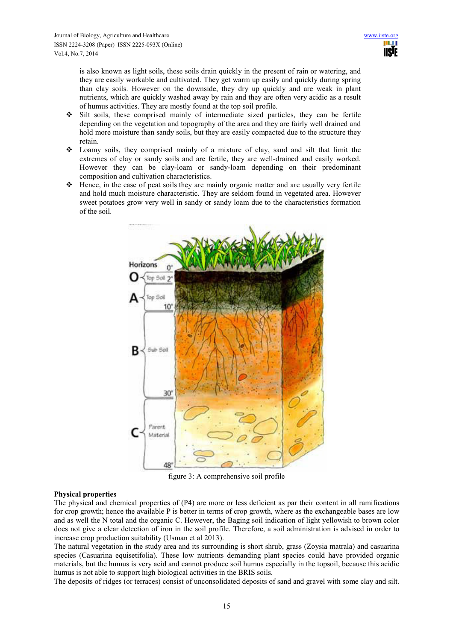is also known as light soils, these soils drain quickly in the present of rain or watering, and they are easily workable and cultivated. They get warm up easily and quickly during spring than clay soils. However on the downside, they dry up quickly and are weak in plant nutrients, which are quickly washed away by rain and they are often very acidic as a result of humus activities. They are mostly found at the top soil profile.

- $\div$  Silt soils, these comprised mainly of intermediate sized particles, they can be fertile depending on the vegetation and topography of the area and they are fairly well drained and hold more moisture than sandy soils, but they are easily compacted due to the structure they retain.
- $\div$  Loamy soils, they comprised mainly of a mixture of clay, sand and silt that limit the extremes of clay or sandy soils and are fertile, they are well-drained and easily worked. However they can be clay-loam or sandy-loam depending on their predominant composition and cultivation characteristics.
- $\div$  Hence, in the case of peat soils they are mainly organic matter and are usually very fertile and hold much moisture characteristic. They are seldom found in vegetated area. However sweet potatoes grow very well in sandy or sandy loam due to the characteristics formation of the soil.



figure 3: A comprehensive soil profile

#### **Physical properties**

The physical and chemical properties of (P4) are more or less deficient as par their content in all ramifications for crop growth; hence the available P is better in terms of crop growth, where as the exchangeable bases are low and as well the N total and the organic C. However, the Baging soil indication of light yellowish to brown color does not give a clear detection of iron in the soil profile. Therefore, a soil administration is advised in order to increase crop production suitability (Usman et al 2013).

The natural vegetation in the study area and its surrounding is short shrub, grass (Zoysia matrala) and casuarina species (Casuarina equisetifolia). These low nutrients demanding plant species could have provided organic materials, but the humus is very acid and cannot produce soil humus especially in the topsoil, because this acidic humus is not able to support high biological activities in the BRIS soils.

The deposits of ridges (or terraces) consist of unconsolidated deposits of sand and gravel with some clay and silt.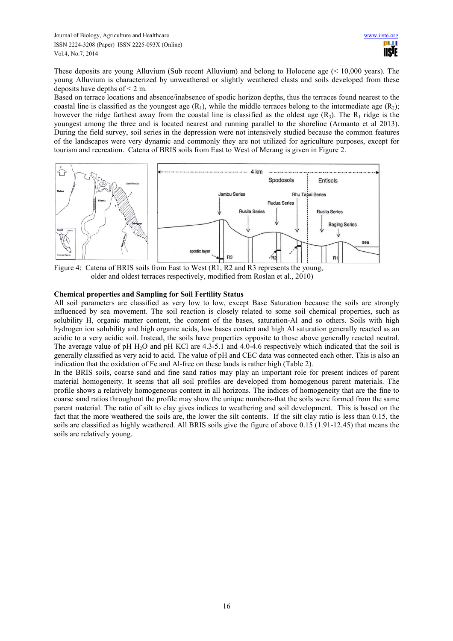These deposits are young Alluvium (Sub recent Alluvium) and belong to Holocene age (< 10,000 years). The young Alluvium is characterized by unweathered or slightly weathered clasts and soils developed from these deposits have depths of  $\leq 2$  m.

Based on terrace locations and absence/inabsence of spodic horizon depths, thus the terraces found nearest to the coastal line is classified as the youngest age  $(R_1)$ , while the middle terraces belong to the intermediate age  $(R_2)$ ; however the ridge farthest away from the coastal line is classified as the oldest age  $(R_3)$ . The  $R_1$  ridge is the youngest among the three and is located nearest and running parallel to the shoreline (Armanto et al 2013). During the field survey, soil series in the depression were not intensively studied because the common features of the landscapes were very dynamic and commonly they are not utilized for agriculture purposes, except for tourism and recreation. Catena of BRIS soils from East to West of Merang is given in Figure 2.



Figure 4: Catena of BRIS soils from East to West (R1, R2 and R3 represents the young, older and oldest terraces respectively, modified from Roslan et al., 2010)

## **Chemical properties and Sampling for Soil Fertility Status**

All soil parameters are classified as very low to low, except Base Saturation because the soils are strongly influenced by sea movement. The soil reaction is closely related to some soil chemical properties, such as solubility H, organic matter content, the content of the bases, saturation-Al and so others. Soils with high hydrogen ion solubility and high organic acids, low bases content and high Al saturation generally reacted as an acidic to a very acidic soil. Instead, the soils have properties opposite to those above generally reacted neutral. The average value of pH H<sub>2</sub>O and pH KCl are 4.3-5.1 and 4.0-4.6 respectively which indicated that the soil is generally classified as very acid to acid. The value of pH and CEC data was connected each other. This is also an indication that the oxidation of Fe and Al-free on these lands is rather high (Table 2).

In the BRIS soils, coarse sand and fine sand ratios may play an important role for present indices of parent material homogeneity. It seems that all soil profiles are developed from homogenous parent materials. The profile shows a relatively homogeneous content in all horizons. The indices of homogeneity that are the fine to coarse sand ratios throughout the profile may show the unique numbers-that the soils were formed from the same parent material. The ratio of silt to clay gives indices to weathering and soil development. This is based on the fact that the more weathered the soils are, the lower the silt contents. If the silt clay ratio is less than 0.15, the soils are classified as highly weathered. All BRIS soils give the figure of above 0.15 (1.91-12.45) that means the soils are relatively young.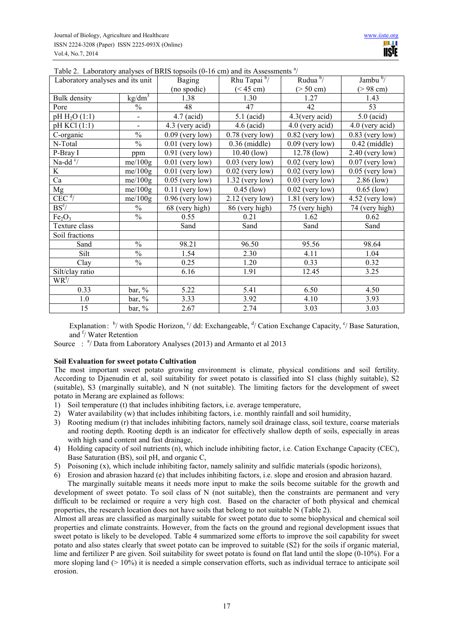| Laboratory analyses and its unit |                  | <b>Baging</b>     | Rhu Tapai <sup>b</sup> /         | Rudua $\frac{b}{ }$ | Jambu $\frac{b}{ }$  |
|----------------------------------|------------------|-------------------|----------------------------------|---------------------|----------------------|
|                                  |                  | (no spodic)       | $(> 50 \text{ cm})$<br>(< 45 cm) |                     | $( > 98 \text{ cm})$ |
| <b>Bulk</b> density              | $\text{kg/dm}^3$ | 1.38              | 1.30                             | 1.27                | 1.43                 |
| Pore                             | $\frac{0}{0}$    | 48                | 47                               | 42                  | 53                   |
| $pH H_2O(1:1)$                   | $\blacksquare$   | $4.7$ (acid)      | $5.1$ (acid)                     | 4.3(very acid)      | $5.0$ (acid)         |
| pH KCl (1:1)                     | $\blacksquare$   | 4.3 (very acid)   | $4.6$ (acid)                     | 4.0 (very acid)     | 4.0 (very acid)      |
| C-organic                        | $\frac{0}{0}$    | $0.09$ (very low) | $0.78$ (very low)                | $0.82$ (very low)   | $0.83$ (very low)    |
| N-Total                          | $\frac{0}{0}$    | $0.01$ (very low) | $0.36$ (middle)                  | $0.09$ (very low)   | $0.42$ (middle)      |
| P-Bray I                         | ppm              | $0.91$ (very low) | $10.40$ (low)                    | $12.78$ (low)       | $2.40$ (very low)    |
| Na-dd $\sqrt{6}$                 | me/100g          | $0.01$ (very low) | $0.03$ (very low)                | $0.02$ (very low)   | $0.07$ (very low)    |
| K.                               | me/100g          | $0.01$ (very low) | $0.02$ (very low)                | $0.02$ (very low)   | $0.05$ (very low)    |
| Ca                               | me/100g          | $0.05$ (very low) | $1.32$ (very low)                | $0.03$ (very low)   | $2.86$ (low)         |
| Mg                               | me/100g          | $0.11$ (very low) | $0.45$ (low)                     | $0.02$ (very low)   | $0.65$ (low)         |
| CEC <sup>d</sup>                 | me/100g          | $0.96$ (very low) | $2.12$ (very low)                | $1.81$ (very low)   | $4.52$ (very low)    |
| BS <sup>e</sup>                  | $\frac{0}{0}$    | 68 (very high)    | 86 (very high)                   | 75 (very high)      | 74 (very high)       |
| Fe <sub>2</sub> O <sub>3</sub>   | $\frac{0}{0}$    | 0.55              | 0.21                             | 1.62                | 0.62                 |
| Texture class                    |                  | Sand              | Sand                             | Sand                | Sand                 |
| Soil fractions                   |                  |                   |                                  |                     |                      |
| Sand                             | $\frac{0}{0}$    | 98.21             | 96.50                            | 95.56               | 98.64                |
| Silt                             | $\frac{0}{0}$    | 1.54              | 2.30                             | 4.11                | 1.04                 |
| Clay                             | $\frac{0}{0}$    | 0.25              | 1.20                             | 0.33                | 0.32                 |
| Silt/clay ratio                  |                  | 6.16              | 1.91                             | 12.45               | 3.25                 |
| $WR^{f}/$                        |                  |                   |                                  |                     |                      |
| 0.33                             | bar, %           | 5.22              | 5.41                             | 6.50                | 4.50                 |
| 1.0                              | $bar, \%$        | 3.33              | 3.92                             | 4.10                | 3.93                 |
| 15                               | bar, %           | 2.67              | 2.74                             | 3.03                | 3.03                 |

Table 2. Laboratory analyses of BRIS topsoils (0-16 cm) and its Assessments<sup>a</sup>/

Explanation: <sup>b</sup>/ with Spodic Horizon, <sup>c</sup>/ dd: Exchangeable, <sup>d</sup>/ Cation Exchange Capacity, <sup>e</sup>/ Base Saturation, and <sup>f</sup>/ Water Retention

Source: <sup>a</sup>/ Data from Laboratory Analyses (2013) and Armanto et al 2013

## **Soil Evaluation for sweet potato Cultivation**

The most important sweet potato growing environment is climate, physical conditions and soil fertility. According to Djaenudin et al, soil suitability for sweet potato is classified into S1 class (highly suitable), S2 (suitable), S3 (marginally suitable), and N (not suitable). The limiting factors for the development of sweet potato in Merang are explained as follows:

- 1) Soil temperature (t) that includes inhibiting factors, i.e. average temperature,
- 2) Water availability (w) that includes inhibiting factors, i.e. monthly rainfall and soil humidity,
- 3) Rooting medium (r) that includes inhibiting factors, namely soil drainage class, soil texture, coarse materials and rooting depth. Rooting depth is an indicator for effectively shallow depth of soils, especially in areas with high sand content and fast drainage,
- 4) Holding capacity of soil nutrients (n), which include inhibiting factor, i.e. Cation Exchange Capacity (CEC), Base Saturation (BS), soil pH, and organic C,
- 5) Poisoning (x), which include inhibiting factor, namely salinity and sulfidic materials (spodic horizons),
- 6) Erosion and abrasion hazard (e) that includes inhibiting factors, i.e. slope and erosion and abrasion hazard.

The marginally suitable means it needs more input to make the soils become suitable for the growth and development of sweet potato. To soil class of N (not suitable), then the constraints are permanent and very difficult to be reclaimed or require a very high cost. Based on the character of both physical and chemical properties, the research location does not have soils that belong to not suitable N (Table 2).

Almost all areas are classified as marginally suitable for sweet potato due to some biophysical and chemical soil properties and climate constraints. However, from the facts on the ground and regional development issues that sweet potato is likely to be developed. Table 4 summarized some efforts to improve the soil capability for sweet potato and also states clearly that sweet potato can be improved to suitable (S2) for the soils if organic material, lime and fertilizer P are given. Soil suitability for sweet potato is found on flat land until the slope (0-10%). For a more sloping land (> 10%) it is needed a simple conservation efforts, such as individual terrace to anticipate soil erosion.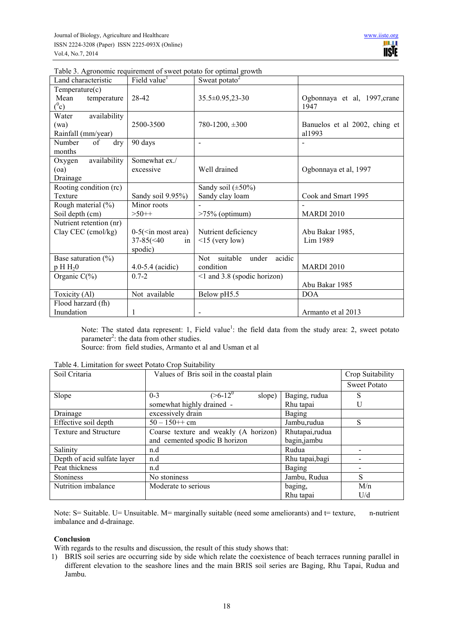|  | Table 3. Agronomic requirement of sweet potato for optimal growth |  |  |  |
|--|-------------------------------------------------------------------|--|--|--|
|  |                                                                   |  |  |  |

| Land characteristic     | Field value <sup>1</sup>     | Sweat potato $2$                    |                               |
|-------------------------|------------------------------|-------------------------------------|-------------------------------|
| Temperature(c)          |                              |                                     |                               |
| Mean<br>temperature     | 28-42                        | $35.5 \pm 0.95,23 - 30$             | Ogbonnaya et al, 1997, crane  |
| $(^0c)$                 |                              |                                     | 1947                          |
| availability<br>Water   |                              |                                     |                               |
| (wa)                    | 2500-3500                    | $780-1200, \pm 300$                 | Banuelos et al 2002, ching et |
| Rainfall (mm/year)      |                              |                                     | al1993                        |
| Number<br>of<br>dry     | 90 days                      | $\blacksquare$                      |                               |
| months                  |                              |                                     |                               |
| availability<br>Oxygen  | Somewhat ex./                |                                     |                               |
| (oa)                    | excessive                    | Well drained                        | Ogbonnaya et al, 1997         |
| Drainage                |                              |                                     |                               |
| Rooting condition (rc)  |                              | Sandy soil $(\pm 50\%)$             |                               |
| Texture                 | Sandy soil 9.95%)            | Sandy clay loam                     | Cook and Smart 1995           |
| Rough material (%)      | Minor roots                  |                                     |                               |
| Soil depth (cm)         | $>50++$                      | $>75\%$ (optimum)                   | <b>MARDI 2010</b>             |
| Nutrient retention (nr) |                              |                                     |                               |
| Clay CEC (cmol/kg)      | $0-5$ ( $\leq$ in most area) | Nutrient deficiency                 | Abu Bakar 1985,               |
|                         | $37 - 85 \times 40$<br>in    | $\leq$ 15 (very low)                | Lim 1989                      |
|                         | spodic)                      |                                     |                               |
| Base saturation $(\% )$ |                              | suitable<br>acidic<br>under<br>Not. |                               |
| $p H H_2 0$             | $4.0 - 5.4$ (acidic)         | condition                           | <b>MARDI 2010</b>             |
| Organic $C(\%)$         | $0.7 - 2$                    | $\leq$ 1 and 3.8 (spodic horizon)   |                               |
|                         |                              |                                     | Abu Bakar 1985                |
| Toxicity $(A1)$         | Not available                | Below pH5.5                         | <b>DOA</b>                    |
| Flood harzard (fh)      |                              |                                     |                               |
| Inundation              |                              | $\overline{a}$                      | Armanto et al 2013            |

Note: The stated data represent: 1, Field value<sup>1</sup>: the field data from the study area: 2, sweet potato parameter<sup>2</sup>: the data from other studies.

Source: from field studies, Armanto et al and Usman et al

| Soil Critaria                | Values of Bris soil in the coastal plain | Crop Suitability |                     |
|------------------------------|------------------------------------------|------------------|---------------------|
|                              |                                          |                  | <b>Sweet Potato</b> |
| Slope                        | $(>=6 - 12^0)$<br>slope)<br>$0 - 3$      | Baging, rudua    | S                   |
|                              | somewhat highly drained -                | Rhu tapai        | U                   |
| Drainage                     | excessively drain                        | Baging           |                     |
| Effective soil depth         | $50 - 150++$ cm                          | Jambu,rudua      | S                   |
| <b>Texture and Structure</b> | Coarse texture and weakly (A horizon)    | Rhutapai, rudua  |                     |
|                              | and cemented spodic B horizon            | bagin, jambu     |                     |
| Salinity                     | n.d                                      | Rudua            |                     |
| Depth of acid sulfate layer  | n.d                                      | Rhu tapai, bagi  |                     |
| Peat thickness               | n.d                                      | Baging           |                     |
| <b>Stoniness</b>             | No stoniness                             | Jambu, Rudua     | S                   |
| Nutrition imbalance          | Moderate to serious                      | baging,          | M/n                 |
|                              |                                          | Rhu tapai        | U/d                 |

Table 4. Limitation for sweet Potato Crop Suitability

Note: S= Suitable. U= Unsuitable. M= marginally suitable (need some ameliorants) and t= texture, n-nutrient imbalance and d-drainage.

## **Conclusion**

With regards to the results and discussion, the result of this study shows that:

1) BRIS soil series are occurring side by side which relate the coexistence of beach terraces running parallel in different elevation to the seashore lines and the main BRIS soil series are Baging, Rhu Tapai, Rudua and Jambu.